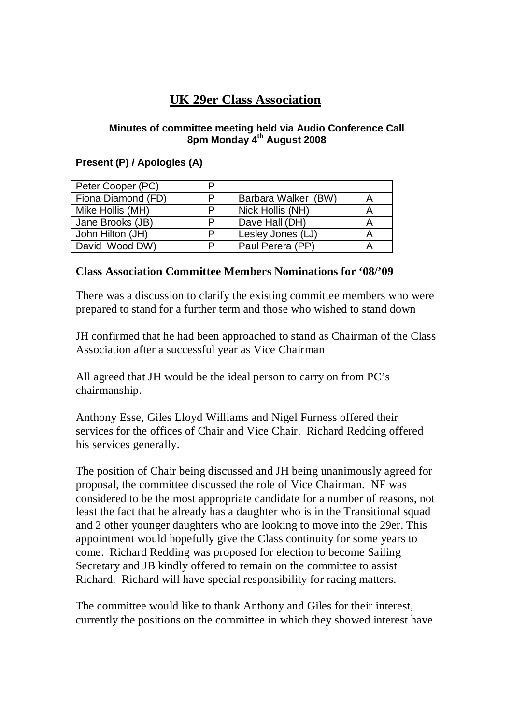# **UK 29er Class Association**

#### **Minutes of committee meeting held via Audio Conference Call 8pm Monday 4th August 2008**

## **Present (P) / Apologies (A)**

| Peter Cooper (PC)  | P |                     |  |
|--------------------|---|---------------------|--|
| Fiona Diamond (FD) | P | Barbara Walker (BW) |  |
| Mike Hollis (MH)   | P | Nick Hollis (NH)    |  |
| Jane Brooks (JB)   | P | Dave Hall (DH)      |  |
| John Hilton (JH)   | P | Lesley Jones (LJ)   |  |
| David Wood DW)     | P | Paul Perera (PP)    |  |

### **Class Association Committee Members Nominations for '08/'09**

There was a discussion to clarify the existing committee members who were prepared to stand for a further term and those who wished to stand down

JH confirmed that he had been approached to stand as Chairman of the Class Association after a successful year as Vice Chairman

All agreed that JH would be the ideal person to carry on from PC's chairmanship.

Anthony Esse, Giles Lloyd Williams and Nigel Furness offered their services for the offices of Chair and Vice Chair. Richard Redding offered his services generally.

The position of Chair being discussed and JH being unanimously agreed for proposal, the committee discussed the role of Vice Chairman. NF was considered to be the most appropriate candidate for a number of reasons, not least the fact that he already has a daughter who is in the Transitional squad and 2 other younger daughters who are looking to move into the 29er. This appointment would hopefully give the Class continuity for some years to come. Richard Redding was proposed for election to become Sailing Secretary and JB kindly offered to remain on the committee to assist Richard. Richard will have special responsibility for racing matters.

The committee would like to thank Anthony and Giles for their interest, currently the positions on the committee in which they showed interest have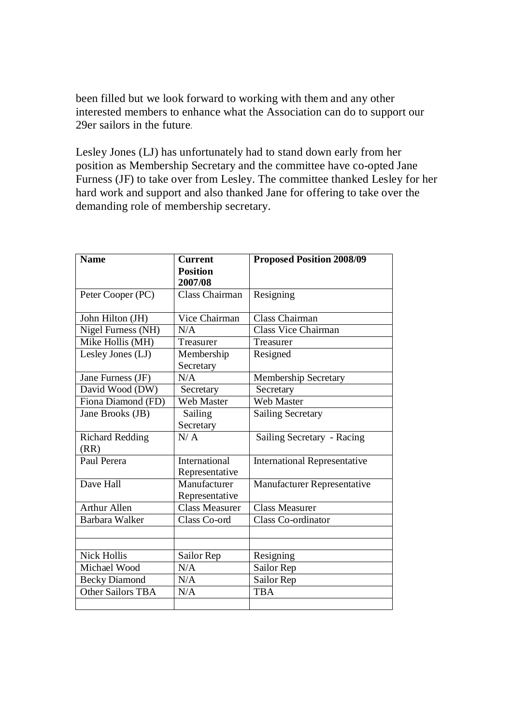been filled but we look forward to working with them and any other interested members to enhance what the Association can do to support our 29er sailors in the future.

Lesley Jones (LJ) has unfortunately had to stand down early from her position as Membership Secretary and the committee have co-opted Jane Furness (JF) to take over from Lesley. The committee thanked Lesley for her hard work and support and also thanked Jane for offering to take over the demanding role of membership secretary.

| <b>Name</b>              | <b>Current</b>        | <b>Proposed Position 2008/09</b>    |
|--------------------------|-----------------------|-------------------------------------|
|                          | <b>Position</b>       |                                     |
|                          | 2007/08               |                                     |
| Peter Cooper (PC)        | Class Chairman        | Resigning                           |
|                          |                       |                                     |
| John Hilton (JH)         | Vice Chairman         | Class Chairman                      |
| Nigel Furness (NH)       | N/A                   | Class Vice Chairman                 |
| Mike Hollis (MH)         | Treasurer             | Treasurer                           |
| Lesley Jones (LJ)        | Membership            | Resigned                            |
|                          | Secretary             |                                     |
| Jane Furness (JF)        | N/A                   | Membership Secretary                |
| David Wood (DW)          | Secretary             | Secretary                           |
| Fiona Diamond (FD)       | <b>Web Master</b>     | <b>Web Master</b>                   |
| Jane Brooks (JB)         | Sailing               | <b>Sailing Secretary</b>            |
|                          | Secretary             |                                     |
| <b>Richard Redding</b>   | N/A                   | Sailing Secretary - Racing          |
| (RR)                     |                       |                                     |
| Paul Perera              | <b>International</b>  | <b>International Representative</b> |
|                          | Representative        |                                     |
| Dave Hall                | Manufacturer          | <b>Manufacturer Representative</b>  |
|                          | Representative        |                                     |
| <b>Arthur Allen</b>      | <b>Class Measurer</b> | <b>Class Measurer</b>               |
| <b>Barbara Walker</b>    | Class Co-ord          | <b>Class Co-ordinator</b>           |
|                          |                       |                                     |
|                          |                       |                                     |
| <b>Nick Hollis</b>       | Sailor Rep            | Resigning                           |
| Michael Wood             | N/A                   | Sailor Rep                          |
| <b>Becky Diamond</b>     | N/A                   | Sailor Rep                          |
| <b>Other Sailors TBA</b> | N/A                   | <b>TBA</b>                          |
|                          |                       |                                     |